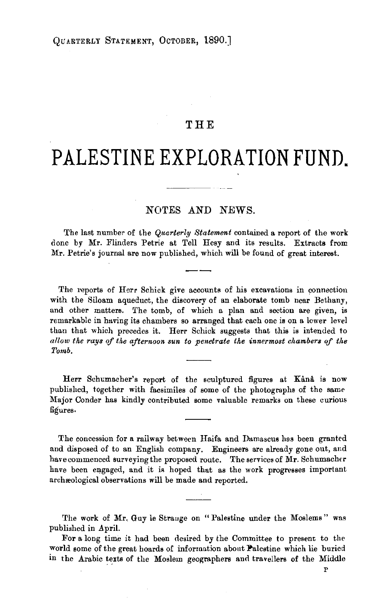## **THE**

## PALESTINE EXPLORATION FUND.

## NOTES AND NEWS.

The last number of the *Quarterly Statement* contained a report of the work done by Mr. Flinders Petrie at Tell Hesy and its results. Extracts from Mr. Petrie's journal are now published, which will be found of great interest.

The reports of Herr Schick give accounts of his excavations in connection with the Siloam aqueduct, the discovery of an elaborate tomb near Bethany, and other matters. The tomb, of which a plan and section are given, is remarkable in having its chambers so arranged that each one is on a lower level than that which precedes it. Herr Schick suggests that this is intended to allow the rays of the afternoon sun to penetrate the innermost chambers of the *Tomb.* 

Herr Schumacher's report of the sculptured figures at Kânâ is now published, together with facsimiles of some of the photographs of the same Major Conder has kindly contributed some valuable remarks on these curious figures.

The concession for a railway between Haifa and Damascus has been granted and disposed of to an English company. Engineers are already gone out, and have commenced surveying the proposed route. The services of  $Mr.$  Schumacher have been engaged, and it is hoped that as the work progresses important archæological observations will be made and reported.

The work of Mr. Guy le Strange on "Palestine under the Moslems" was published in April.

For a long time it had been desired by the Committee to present to the world some of the great hoards of information about Palestine which lie buried in the Arabic texts of the Moslem geographers and travellers of the Middle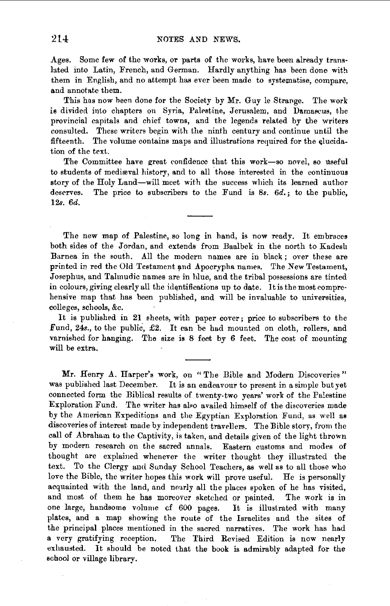Ages. Some few of the works, or parts of the works, have been already translated into Latin, French, and German. Hardly anything has been done with them in English, and no attempt has ever been made to systematise, compare, and annotate them.

This has now been done for the Society by Mr. Guy le Strange. The work is divided into chapters on Syria, Palestine, Jerusalem, and Damascus, the provincial capitals and chief towns, and the legends related by the writers consulted. These writers begin with the ninth century and continue until the fifteenth. The volume contains maps and illustrations required for the elucidation of the text.

The Committee have great confidence that this work-so novel, so useful to students of mediæval history, and to all those interested in the continuous story of the Holy Land-will meet with the success which its learned author deserves. The price to subscribers to the Fund is *Ss. 6d.;* to the public, 12s. *6d.* 

The new map of Palestine, so long in hand, is now ready. It embraces both sides of the Jordan, and extends from Baalbek in the north to Kadesh Barnea in the south. All the modern names are in black ; over these are printed in red the Old Testament and Apocrypha names. The New Testament, Josephus, and Talmudic names are in hlue, and the tribal possessions are tinted in colours, giving clearly all the identifications up to date. It is the most comprehensive map that has been published, and will be invaluable to universities, colleges, schools, &c.

It is published in 21 sheets, with paper cover; price to subscribers to the .Fund, 24s., to the public-, £2. It can be had mounted on cloth, rollers, and varnished for hanging. The size is 8 feet by 6 feet. The cost of mounting will be extra.

Mr. Henry A. Harper's work, on "The Bible and Modern Discoveries" was published last December. It is an endeavour to present in a simple but yet connected form the Biblical results of twenty-two years' work of the Palestine Exploration Fund. The writer has al•o availed him•elf of the discoveries made by the American Expeditions and the Egyptian Exploration Fund, as well as discoveries of interest made by independent travellers. The Bible story, from the call of Abraham to the Captivity, is taken, and details given of the light thrown by modern research on the sacred annals. Eastern customs and modes of thought are explained whenever the writer thought they illustrated the text. To the Clergy and Sunday School Teachers, as well as to all those who love the Bible, the writer hopes this work will prove useful. He is personally acquainted with the land, and noarly all the places spoken of he has visited, and most of them he has moreover sketched or painted. The work is in one large, handsome volume cf 600 pages. It is illustrated with many plates, and a map showing the route of the Israelites and the sites of the principal places mentioned in the sacred narratives. The work has had a very gratifying reception. The Third Revised Edition is now nearly exhausted. It should be noted that the book is admirably adapted for the school or village library.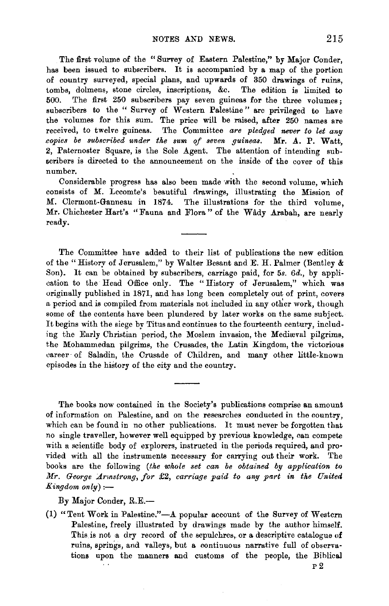The first volume of the "Survey of Eastern Palestine," by Major Conder, has been issued to subseribers. It is accompanied by a map of the portion of country surveyed, special plans, and upwards of 350 drawings of ruins, tombs, dolmens, stone circles, inscriptions, &c. The edition is limited to The first 250 subscribers pay seven guineas for the three volumes; subscribers to the " Survey of Western Palestine" are privileged to have the volumes for this sum. The price will be raised, after 250 names are received, to twelve guineas. The Committee *are pledged never to let any copies be subscribed under the sum of seven guineas. Mr. A. P. Watt,* 2, Paternoster Square, is the Sole Agent. The attention of intending subscribers is directed to the announcement on the inside of the cover of this number.

Considerable progress has also been made with the second volume, which consists of M. Lecomte's beautiful drawings, illustrating the Mission of M. Clermont-Ganneau in 1874. The illustrations for the third volume, Mr. Chichester Hart's "Fauna and Flora" of the Wady Arabah, are nearly ready.

The Committee have added to their list of publications the new edition of the" History of Jerusalem," by Waiter Besant and E. H. Palmer (Bentley & Son). It can be obtained by subscribers, carriage paid, for 5s. 6d., by application to the Head Office only. The "History of Jerusalem," which was originally published in 1871, and has long been completely out of print, covers a period and is compiled from materials not included in any other work, though some of the contents have been plundered by later works on the same subject. It begins with the siege by Titus and continues to the fourteenth century, including the Early Christian period, the Moslem invasion, the Medieval pilgrims, the Mohammedan pilgrims, the Crusades, the Latin Kingdom, the victorious career· of Saladin, the Crusade of Children, and many other little-known episodes in the history of the city and the country.

The books now contained in the Society's publications comprise an amount of information on Palestine, and on the researches conducted in the country, which can be found in no other publications. It must never be forgotten that no single traveller, however well equipped by previous knowledge, can compete with a scientific body of explorers, instructed in the periods required, and provided with all the instruments necessary for carrying out their work. The books are the following *(the whole set can be obtained by application to Mr. George Am•strong, for* £2, *carriage paid to any part in the United*   $Kingdom~only$ ) :-

By Major Conder, R.E.-

(1) "Tent Work in Palestine."—A popular account of the Survey of Western Palestine, freely illustrated by drawings made by the author himself. This is not a dry record of the sepulchres, or a descriptive catalogue of ruins, springs, and valleys, but a continuous narrative full of observations upon the manners and customs of the people, the Biblical P2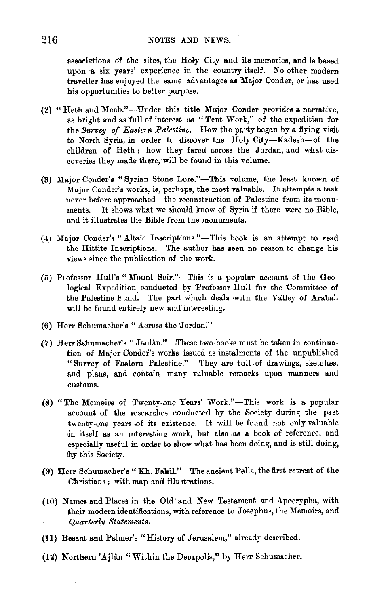associations of the sites, the Holy City and its memories, and is based upon a six years' experience in the country itself. No other modern traveller has enjoyed the same advantages as Major Conder, or has used his opportunities to better purpose.

- (2) "Heth and Moab."-Under this title Msjor Conder l'rovides **a** narrative, as bright and as full of interest as "Tent Work," of the expedition for the *Survey of Eastern Palestine*. How the party began by a flying visit to North Syria, in order to discover the Holy City-Kadesh-of the children of Heth ; how they fared across the Jordan, and what dis· coveries they ·made there, will be found in this volume.
- (3) Major Conder's "Syrian Stone Lore."-This volume, the least known of Major Conder's works, is, perhaps, the most valuable. It attempts a task never before approached-the reconstruction of Palestine from its monuments. It shows what we should know of Syria if there .were no Bible, and it illustrates the Bible from the monuments.
- (>) Major Conder's "Altaic Inscriptions."-This book is an attempt to read the Hittite Inscriptions. The author has seen no reason to change his views since the publication of the work.
- (5) Professor Hull's "Mount Seir."-This is a popular account of the Geological Expedition conducted by Professor Hull for the Committee of the Palestine Fund. The part which deals with the Valley of Arabah will be found entirely new and interesting.
- (6) Herr Schumacher's "Across the 'Jordan:"
- (7) Herr Schumacher's "Jaulan."-These two books must be taken in continuation of Major Conder's works issued as instalments of the unpublished "Survey of Eastern Palestine." They are full of drawings, sketches, and plans, and contain many valuable remarks upon manners and customs.
- (8) "The Memoirs of Twenty-one Years' Work."-This work is a popular account of the researches conducted by the Society during the past twenty-one years of its existence. It will be found not only valuable in itself as an interesting work, but also as a book of reference, and especially useful in order to show what has been doing, and is still doing, by this Society.
- (9) Herr Schumacher's "Kh. Fahil." The ancient Pella, the first retreat of the Christians ; with map and tllustrations.
- (10) Names and Places in the Old' and *New* Testament and Apocrypha, with their modern identifications, with reference to Josephus, the Memoirs, and *Quarterly Statements.*
- **(11)** Besant and Palmer's "History of Jerusalem," already described.
- **(12)** Northern' Ajlun "Within the Decapolis," by Herr Schumacher.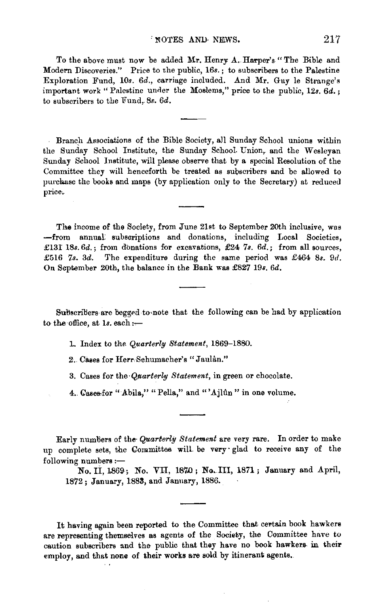To the above must now be added Mr. Henry A. Harper's "The Bible and Modern Discoveries." Price to the public, 16s.; to subscribers to the Palestine Exploration Fund, 10s. 6d., carriage included. And Mr. Guy le Strange's important work "Palestine under the Moslems," price to the public, 12s. 6d.; to subscribers to the Fund, 8s. 6d.

Branch Associations of the Bible Society, all Sunday School unions within the Sunday School Institute, the Sunday School Union, and the Wesleyan Sunday School Institute, will please observe that by a special Resolution of the Committee they will henceforth be treated as subscribers and be allowed to purchase the books and maps (by application only to the Secretary) at reduced price.

The income of the Society, from June 21st to September 20th inclusive, was -from annual subscriptions and donations, including Local Societies, £131 18s. 6d.; from donations for excavations, £24 7s. 6d.; from all sources, £516 7s. 3d. The expenditure during the same period was £464 8s. 9d. On September 20th, the balance in the Bank was £827 19s. 6d.

Subscribers are begged to note that the following can be had by application to the office, at  $1s$ . each :-

1. Index to the Quarterly Statement, 1869-1880.

2. Cases for Herr Schumacher's "Jaulan."

3. Cases for the Quarterly Statement, in green or chocolate.

4. Cases for "Abila," "Pella," and "'Ajlûn" in one volume.

Early numbers of the Quarterly Statement are very rare. In order to make up complete sets, the Committee will be very glad to receive any of the following numbers :-

No. II, 1869; No. VII, 1870; No. III, 1871; January and April, 1872; January, 1883, and January, 1886.

It having again been reported to the Committee that certain book hawkers are representing themselves as agents of the Society, the Committee have to caution subscribers and the public that they have no book hawkers in their employ, and that none of their works are sold by itinerant agents.